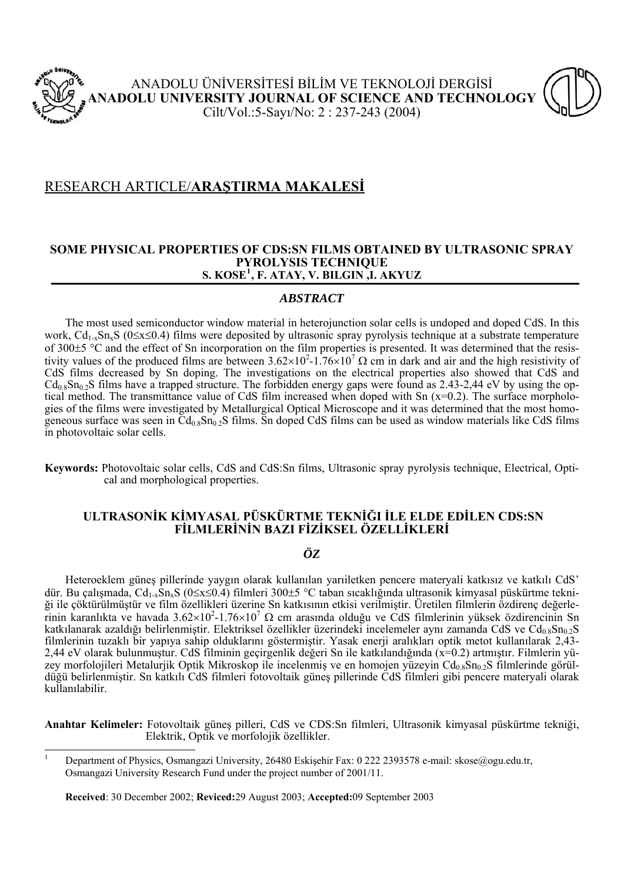



## **SOME PHYSICAL PROPERTIES OF CDS:SN FILMS OBTAINED BY ULTRASONIC SPRAY PYROLYSIS TECHNIQUE S. KOSE[1](#page-0-0) , F. ATAY, V. BILGIN ,I. AKYUZ**

## *ABSTRACT*

 The most used semiconductor window material in heterojunction solar cells is undoped and doped CdS. In this work,  $Cd_{1-x}Sn_xS$  ( $0\leq x \leq 0.4$ ) films were deposited by ultrasonic spray pyrolysis technique at a substrate temperature of 300±5 °C and the effect of Sn incorporation on the film properties is presented. It was determined that the resistivity values of the produced films are between  $3.62 \times 10^2$ -1.76×10<sup>7</sup>  $\Omega$  cm in dark and air and the high resistivity of CdS films decreased by Sn doping. The investigations on the electrical properties also showed that CdS and  $Cd_{0.8}Sn_{0.2}S$  films have a trapped structure. The forbidden energy gaps were found as 2.43-2,44 eV by using the optical method. The transmittance value of CdS film increased when doped with Sn (x=0.2). The surface morphologies of the films were investigated by Metallurgical Optical Microscope and it was determined that the most homogeneous surface was seen in  $\rm{Cd}_{0.8}Sn_{0.2}S$  films. Sn doped CdS films can be used as window materials like CdS films in photovoltaic solar cells.

**Keywords:** Photovoltaic solar cells, CdS and CdS:Sn films, Ultrasonic spray pyrolysis technique, Electrical, Optical and morphological properties.

## **ULTRASONİK KİMYASAL PÜSKÜRTME TEKNİĞI İLE ELDE EDİLEN CDS:SN FİLMLERİNİN BAZI FİZİKSEL ÖZELLİKLERİ**

# *ÖZ*

Heteroeklem güneş pillerinde yaygın olarak kullanılan yarıiletken pencere materyali katkısız ve katkılı CdS' dür. Bu çalışmada, Cd1-xSnxS (0≤x≤0.4) filmleri 300±5 °C taban sıcaklığında ultrasonik kimyasal püskürtme tekniği ile çöktürülmüştür ve film özellikleri üzerine Sn katkısının etkisi verilmiştir. Üretilen filmlerin özdirenç değerlerinin karanlıkta ve havada 3.62×10<sup>2</sup>-1.76×10<sup>7</sup> Ω cm arasında olduğu ve CdS filmlerinin yüksek özdirencinin Sn katkılanarak azaldığı belirlenmiştir. Elektriksel özellikler üzerindeki incelemeler aynı zamanda CdS ve Cd<sub>0.8</sub>Sn<sub>0.2</sub>S filmlerinin tuzaklı bir yapıya sahip olduklarını göstermiştir. Yasak enerji aralıkları optik metot kullanılarak 2,43- 2,44 eV olarak bulunmuştur. CdS filminin geçirgenlik değeri Sn ile katkılandığında (x=0.2) artmıştır. Filmlerin yüzey morfolojileri Metalurjik Optik Mikroskop ile incelenmiş ve en homojen yüzeyin C $d_{0.8}$ Sn<sub>0.2</sub>S filmlerinde görüldüğü belirlenmiştir. Sn katkılı CdS filmleri fotovoltaik güneş pillerinde CdS filmleri gibi pencere materyali olarak kullanılabilir.

**Anahtar Kelimeler:** Fotovoltaik güneş pilleri, CdS ve CDS:Sn filmleri, Ultrasonik kimyasal püskürtme tekniği, Elektrik, Optik ve morfolojik özellikler.

**Received**: 30 December 2002; **Reviced:**29 August 2003; **Accepted:**09 September 2003

<span id="page-0-0"></span> $\frac{1}{1}$  Department of Physics, Osmangazi University, 26480 Eskişehir Fax: 0 222 2393578 e-mail: skose@ogu.edu.tr, Osmangazi University Research Fund under the project number of 2001/11.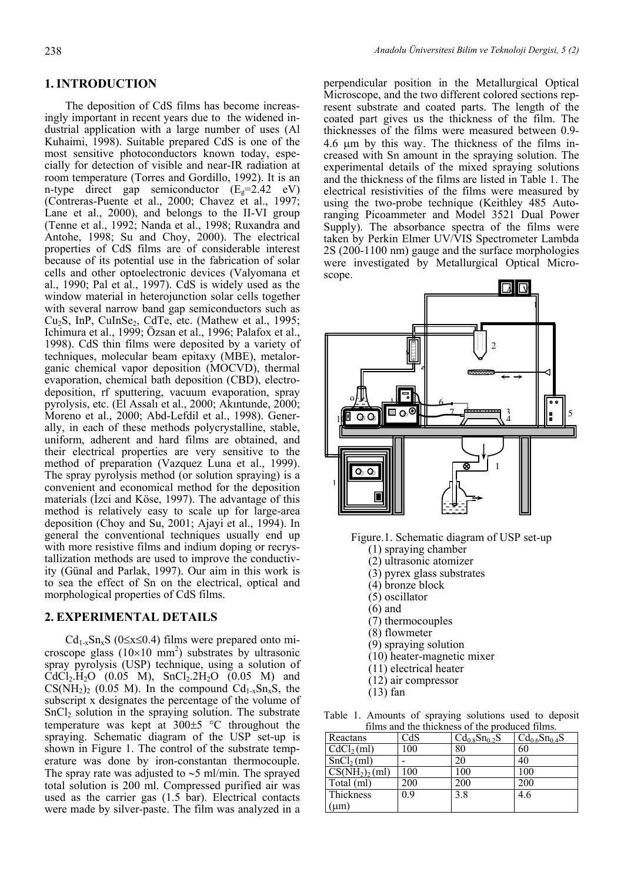### **1. INTRODUCTION**

 The deposition of CdS films has become increasingly important in recent years due to the widened industrial application with a large number of uses (Al Kuhaimi, 1998). Suitable prepared CdS is one of the most sensitive photoconductors known today, especially for detection of visible and near-IR radiation at room temperature (Torres and Gordillo, 1992). It is an n-type direct gap semiconductor  $(E<sub>g</sub>=2.42$  eV) (Contreras-Puente et al., 2000; Chavez et al., 1997; Lane et al., 2000), and belongs to the II-VI group (Tenne et al., 1992; Nanda et al., 1998; Ruxandra and Antohe, 1998; Su and Choy, 2000). The electrical properties of CdS films are of considerable interest because of its potential use in the fabrication of solar cells and other optoelectronic devices (Valyomana et al., 1990; Pal et al., 1997). CdS is widely used as the window material in heterojunction solar cells together with several narrow band gap semiconductors such as Cu<sub>2</sub>S, InP, CuInSe<sub>2</sub>, CdTe, etc. (Mathew et al., 1995; Ichimura et al., 1999; Özsan et al., 1996; Palafox et al., 1998). CdS thin films were deposited by a variety of techniques, molecular beam epitaxy (MBE), metalorganic chemical vapor deposition (MOCVD), thermal evaporation, chemical bath deposition (CBD), electrodeposition, rf sputtering, vacuum evaporation, spray pyrolysis, etc. (El Assalı et al., 2000; Akıntunde, 2000; Moreno et al., 2000; Abd-Lefdil et al., 1998). Generally, in each of these methods polycrystalline, stable, uniform, adherent and hard films are obtained, and their electrical properties are very sensitive to the method of preparation (Vazquez Luna et al., 1999). The spray pyrolysis method (or solution spraying) is a convenient and economical method for the deposition materials (İzci and Köse, 1997). The advantage of this method is relatively easy to scale up for large-area deposition (Choy and Su, 2001; Ajayi et al., 1994). In general the conventional techniques usually end up with more resistive films and indium doping or recrystallization methods are used to improve the conductivity (Günal and Parlak, 1997). Our aim in this work is to sea the effect of Sn on the electrical, optical and morphological properties of CdS films.

#### **2. EXPERIMENTAL DETAILS**

 $Cd_{1-x}Sn_{x}S$  (0≤x≤0.4) films were prepared onto microscope glass  $(10\times10 \text{ mm}^2)$  substrates by ultrasonic spray pyrolysis (USP) technique, using a solution of  $\text{CdCl}_2\text{H}_2\text{O}$  (0.05 M), SnCl<sub>2</sub>.2H<sub>2</sub>O (0.05 M) and  $CS(NH_2)_2$  (0.05 M). In the compound  $Cd_{1-x}Sn_xS$ , the subscript x designates the percentage of the volume of  $SnCl<sub>2</sub>$  solution in the spraying solution. The substrate temperature was kept at 300±5 °C throughout the spraying. Schematic diagram of the USP set-up is shown in Figure 1. The control of the substrate temperature was done by iron-constantan thermocouple. The spray rate was adjusted to ∼5 ml/min. The sprayed total solution is 200 ml. Compressed purified air was used as the carrier gas (1.5 bar). Electrical contacts were made by silver-paste. The film was analyzed in a

perpendicular position in the Metallurgical Optical Microscope, and the two different colored sections represent substrate and coated parts. The length of the coated part gives us the thickness of the film. The thicknesses of the films were measured between 0.9- 4.6 μm by this way. The thickness of the films increased with Sn amount in the spraying solution. The experimental details of the mixed spraying solutions and the thickness of the films are listed in Table 1. The electrical resistivities of the films were measured by using the two-probe technique (Keithley 485 Autoranging Picoammeter and Model 3521 Dual Power Supply). The absorbance spectra of the films were taken by Perkin Elmer UV/VIS Spectrometer Lambda 2S (200-1100 nm) gauge and the surface morphologies were investigated by Metallurgical Optical Microscope.



Figure.1. Schematic diagram of USP set-up

- (1) spraying chamber
- (2) ultrasonic atomizer
- (3) pyrex glass substrates
- (4) bronze block
- (5) oscillator
- (6) and
- (7) thermocouples
- (8) flowmeter
- (9) spraying solution
- (10) heater-magnetic mixer
- (11) electrical heater
- (12) air compressor
- $(13)$  fan

Table 1. Amounts of spraying solutions used to deposit films and the thickness of the produced films.

| Reactans                            | CdS | $Cd_{0.8}Sn_{0.2}S$ | $Cd_{0.6}Sn_{0.4}S$ |
|-------------------------------------|-----|---------------------|---------------------|
| CdCl <sub>2</sub> (ml)              | 100 | 80                  | 60                  |
| SnCl <sub>2</sub> (ml)              |     | 20                  | 40                  |
| $\overline{\text{CS(NH}_2)}_2$ (ml) | 100 | 100                 | 100                 |
| $\overline{\text{Total}}$ (ml)      | 200 | 200                 | 200                 |
| Thickness                           | 09  | 3.8                 | 4.6                 |
| um)                                 |     |                     |                     |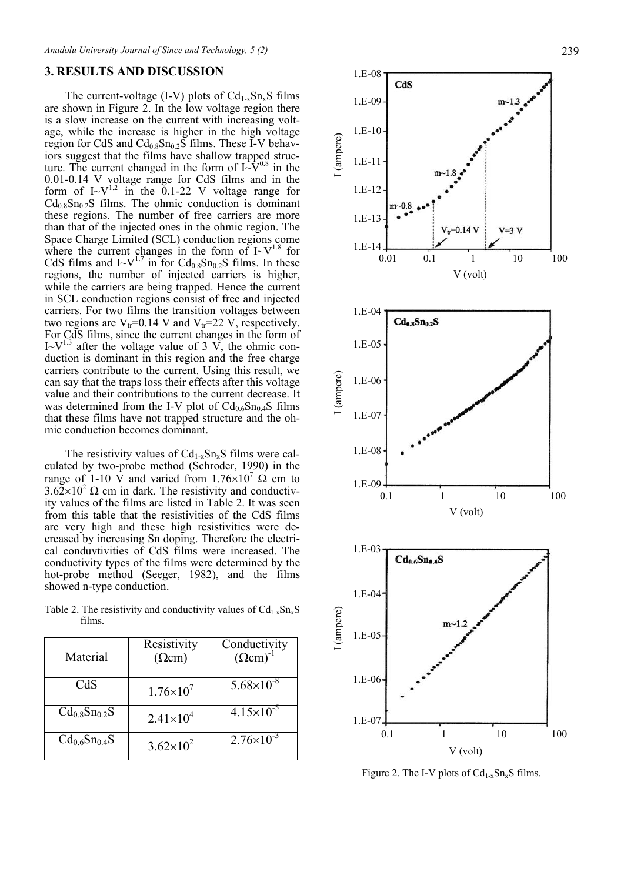#### **3. RESULTS AND DISCUSSION**

The current-voltage (I-V) plots of  $Cd_{1-x}Sn_{x}S$  films are shown in Figure 2. In the low voltage region there is a slow increase on the current with increasing voltage, while the increase is higher in the high voltage region for CdS and  $Cd_{0.8}Sn_{0.2}S$  films. These I-V behaviors suggest that the films have shallow trapped structure. The current changed in the form of  $I \sim \hat{V}^{0.8}$  in the 0.01-0.14 V voltage range for CdS films and in the form of  $I-V^{1.2}$  in the 0.1-22 V voltage range for  $Cd<sub>0.8</sub>Sn<sub>0.2</sub>S$  films. The ohmic conduction is dominant these regions. The number of free carriers are more than that of the injected ones in the ohmic region. The Space Charge Limited (SCL) conduction regions come where the current changes in the form of  $I-V^{1.8}$  for CdS films and  $I - V^{1.7}$  in for  $Cd_{0.8}Sn_{0.2}S$  films. In these regions, the number of injected carriers is higher, while the carriers are being trapped. Hence the current in SCL conduction regions consist of free and injected carriers. For two films the transition voltages between two regions are  $V_{tr}$ =0.14 V and  $V_{tr}$ =22 V, respectively. For CdS films, since the current changes in the form of  $I-V<sup>1.3</sup>$  after the voltage value of 3 V, the ohmic conduction is dominant in this region and the free charge carriers contribute to the current. Using this result, we can say that the traps loss their effects after this voltage value and their contributions to the current decrease. It was determined from the I-V plot of  $Cd_{0.6}Sn_{0.4}S$  films that these films have not trapped structure and the ohmic conduction becomes dominant.

The resistivity values of  $Cd_{1-x}Sn_{x}S$  films were calculated by two-probe method (Schroder, 1990) in the range of 1-10 V and varied from 1.76×10<sup>7</sup> Ω cm to  $3.62\times10^2$  Ω cm in dark. The resistivity and conductivity values of the films are listed in Table 2. It was seen from this table that the resistivities of the CdS films are very high and these high resistivities were decreased by increasing Sn doping. Therefore the electrical conduvtivities of CdS films were increased. The conductivity types of the films were determined by the hot-probe method (Seeger, 1982), and the films showed n-type conduction.

| Table 2. The resistivity and conductivity values of $Cd_{1-x}Sn_{x}S$ |  |  |
|-----------------------------------------------------------------------|--|--|
| films.                                                                |  |  |

| Material            | Resistivity<br>$(\Omega$ cm) | Conductivity<br>$(\Omega \text{cm})^{-1}$ |  |  |
|---------------------|------------------------------|-------------------------------------------|--|--|
| CdS                 | $1.76\times10^{7}$           | $5.68\times10^{-8}$                       |  |  |
| $Cd_{0.8}Sn_{0.2}S$ | $2.41 \times 10^{4}$         | $4.15 \times 10^{-5}$                     |  |  |
| $Cd_{0.6}Sn_{0.4}S$ | $3.62\times10^{2}$           | $2.76 \times 10^{-3}$                     |  |  |



Figure 2. The I-V plots of  $Cd_{1-x}Sn_xS$  films.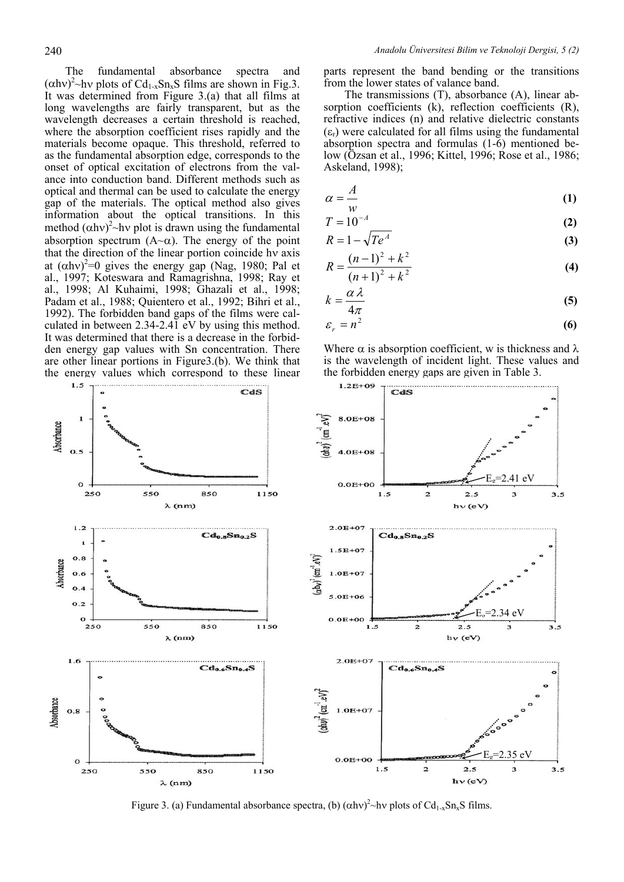The fundamental absorbance spectra and  $(\alpha h v)^2$ ~hv plots of Cd<sub>1-x</sub>Sn<sub>x</sub>S films are shown in Fig.3. It was determined from Figure 3.(a) that all films at long wavelengths are fairly transparent, but as the wavelength decreases a certain threshold is reached, where the absorption coefficient rises rapidly and the materials become opaque. This threshold, referred to as the fundamental absorption edge, corresponds to the onset of optical excitation of electrons from the valance into conduction band. Different methods such as optical and thermal can be used to calculate the energy gap of the materials. The optical method also gives information about the optical transitions. In this method  $(\alpha h v)^2$ ~hv plot is drawn using the fundamental absorption spectrum  $(A \sim \alpha)$ . The energy of the point that the direction of the linear portion coincide hν axis at  $(\alpha h v)^2 = 0$  gives the energy gap (Nag, 1980; Pal et al., 1997; Koteswara and Ramagrishna, 1998; Ray et al., 1998; Al Kuhaimi, 1998; Ghazali et al., 1998; Padam et al., 1988; Quientero et al., 1992; Bihri et al., 1992). The forbidden band gaps of the films were calculated in between 2.34-2.41 eV by using this method. It was determined that there is a decrease in the forbidden energy gap values with Sn concentration. There are other linear portions in Figure3.(b). We think that the energy values which correspond to these linear

parts represent the band bending or the transitions from the lower states of valance band.

 The transmissions (T), absorbance (A), linear absorption coefficients (k), reflection coefficients (R), refractive indices (n) and relative dielectric constants  $(\varepsilon_r)$  were calculated for all films using the fundamental absorption spectra and formulas (1-6) mentioned below (Özsan et al., 1996; Kittel, 1996; Rose et al., 1986; Askeland, 1998);

$$
\alpha = \frac{A}{w} \tag{1}
$$

$$
T = 10^{-A} \tag{2}
$$

$$
R = 1 - \sqrt{Te^A} \tag{3}
$$

$$
R = \frac{(n-1)^2 + k^2}{(n+1)^2 + k^2}
$$
 (4)

$$
k = \frac{\alpha \lambda}{4\pi} \tag{5}
$$

$$
\varepsilon_r = n^2 \tag{6}
$$

Where  $\alpha$  is absorption coefficient, w is thickness and  $\lambda$ is the wavelength of incident light. These values and the forbidden energy gaps are given in Table 3.



Figure 3. (a) Fundamental absorbance spectra, (b)  $(\alpha h v)^2$  ~ hv plots of Cd<sub>1-x</sub>Sn<sub>x</sub>S films.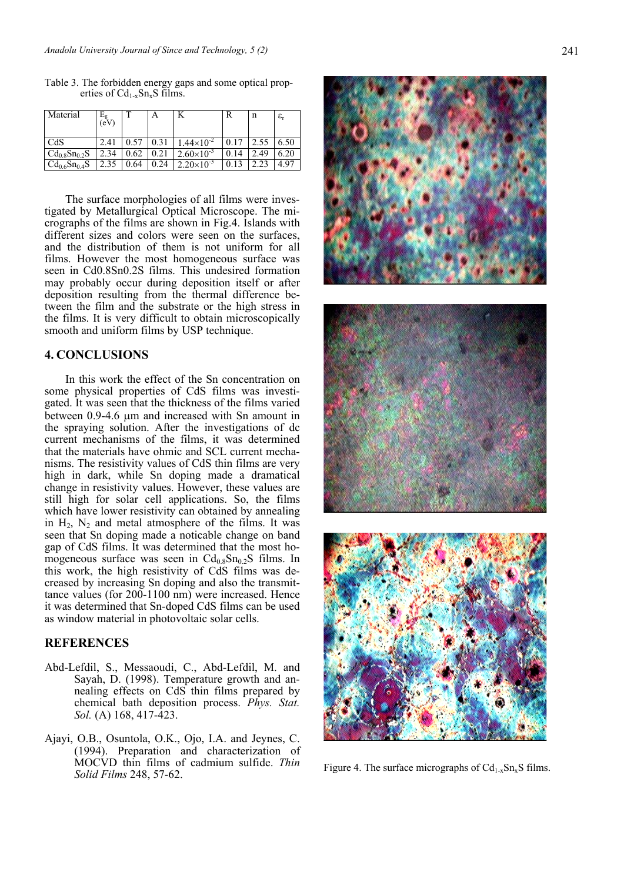| Material              | $E_{\rm g}$<br>(eV) |      | А   | N                   | R | n   | $\varepsilon_{\rm r}$ |
|-----------------------|---------------------|------|-----|---------------------|---|-----|-----------------------|
| CdS                   | 2.41                |      |     | $.44\times10^{-2}$  |   |     | 6.50                  |
| $Cd_0$ $_8Sn_0$ $_2S$ | 2.34                | .62  |     | $2.60\times10^{-3}$ |   | .49 | 6.20                  |
| $Cd_{0.6}Sn_{0.4}S$   |                     | 0.64 | .24 | $2.20\times10^{-3}$ |   |     | 497                   |

 The surface morphologies of all films were investigated by Metallurgical Optical Microscope. The micrographs of the films are shown in Fig.4. Islands with different sizes and colors were seen on the surfaces, and the distribution of them is not uniform for all films. However the most homogeneous surface was seen in Cd0.8Sn0.2S films. This undesired formation may probably occur during deposition itself or after deposition resulting from the thermal difference between the film and the substrate or the high stress in the films. It is very difficult to obtain microscopically smooth and uniform films by USP technique.

### **4. CONCLUSIONS**

In this work the effect of the Sn concentration on some physical properties of CdS films was investigated. It was seen that the thickness of the films varied between 0.9-4.6 μm and increased with Sn amount in the spraying solution. After the investigations of dc current mechanisms of the films, it was determined that the materials have ohmic and SCL current mechanisms. The resistivity values of CdS thin films are very high in dark, while Sn doping made a dramatical change in resistivity values. However, these values are still high for solar cell applications. So, the films which have lower resistivity can obtained by annealing in  $H_2$ ,  $N_2$  and metal atmosphere of the films. It was seen that Sn doping made a noticable change on band gap of CdS films. It was determined that the most homogeneous surface was seen in  $Cd_{0.8}Sn_{0.2}S$  films. In this work, the high resistivity of CdS films was decreased by increasing Sn doping and also the transmittance values (for 200-1100 nm) were increased. Hence it was determined that Sn-doped CdS films can be used as window material in photovoltaic solar cells.

#### **REFERENCES**

- Abd-Lefdil, S., Messaoudi, C., Abd-Lefdil, M. and Sayah, D. (1998). Temperature growth and annealing effects on CdS thin films prepared by chemical bath deposition process. *Phys. Stat. Sol.* (A) 168, 417-423.
- Ajayi, O.B., Osuntola, O.K., Ojo, I.A. and Jeynes, C. (1994). Preparation and characterization of MOCVD thin films of cadmium sulfide. *Thin*  Figure 4. The surface micrographs of Cd<sub>1-x</sub>Sn<sub>x</sub>S films.<br>Solid Films 248, 57-62.

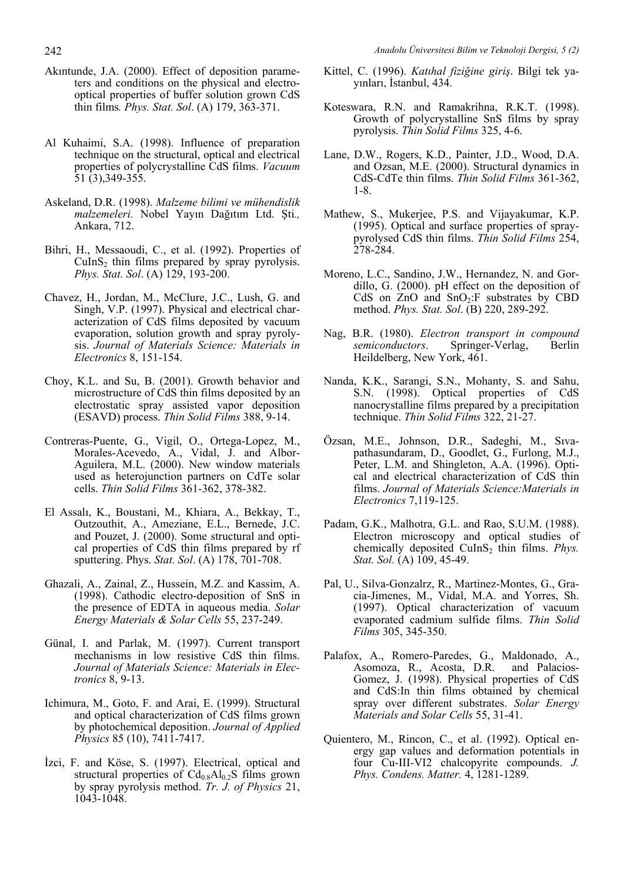- Akıntunde, J.A. (2000). Effect of deposition parameters and conditions on the physical and electrooptical properties of buffer solution grown CdS thin films*. Phys. Stat. Sol*. (A) 179, 363-371.
- Al Kuhaimi, S.A. (1998). Influence of preparation technique on the structural, optical and electrical properties of polycrystalline CdS films. *Vacuum* 51 (3),349-355.
- Askeland, D.R. (1998). *Malzeme bilimi ve mühendislik malzemeleri.* Nobel Yayın Dağıtım Ltd. Şti*.,* Ankara, 712.
- Bihri, H., Messaoudi, C., et al. (1992). Properties of  $CuInS<sub>2</sub>$  thin films prepared by spray pyrolysis. *Phys. Stat. Sol*. (A) 129, 193-200.
- Chavez, H., Jordan, M., McClure, J.C., Lush, G. and Singh, V.P. (1997). Physical and electrical characterization of CdS films deposited by vacuum evaporation, solution growth and spray pyrolysis. *Journal of Materials Science: Materials in Electronics* 8, 151-154.
- Choy, K.L. and Su, B. (2001). Growth behavior and microstructure of CdS thin films deposited by an electrostatic spray assisted vapor deposition (ESAVD) process. *Thin Solid Films* 388, 9-14.
- Contreras-Puente, G., Vigil, O., Ortega-Lopez, M., Morales-Acevedo, A., Vidal, J. and Albor-Aguilera, M.L. (2000). New window materials used as heterojunction partners on CdTe solar cells. *Thin Solid Films* 361-362, 378-382.
- El Assalı, K., Boustani, M., Khiara, A., Bekkay, T., Outzouthit, A., Ameziane, E.L., Bernede, J.C. and Pouzet, J. (2000). Some structural and optical properties of CdS thin films prepared by rf sputtering. Phys. *Stat. Sol*. (A) 178, 701-708.
- Ghazali, A., Zainal, Z., Hussein, M.Z. and Kassim, A. (1998). Cathodic electro-deposition of SnS in the presence of EDTA in aqueous media. *Solar Energy Materials & Solar Cells* 55, 237-249.
- Günal, I. and Parlak, M. (1997). Current transport mechanisms in low resistive CdS thin films. *Journal of Materials Science: Materials in Electronics* 8, 9-13.
- Ichimura, M., Goto, F. and Arai, E. (1999). Structural and optical characterization of CdS films grown by photochemical deposition. *Journal of Applied Physics* 85 (10), 7411-7417.
- İzci, F. and Köse, S. (1997). Electrical, optical and structural properties of  $Cd_{0.8}Al_{0.2}S$  films grown by spray pyrolysis method. *Tr. J. of Physics* 21, 1043-1048.
- Kittel, C. (1996). *Katıhal fiziğine giriş*. Bilgi tek yayınları, İstanbul, 434.
- Koteswara, R.N. and Ramakrihna, R.K.T. (1998). Growth of polycrystalline SnS films by spray pyrolysis. *Thin Solid Films* 325, 4-6.
- Lane, D.W., Rogers, K.D., Painter, J.D., Wood, D.A. and Ozsan, M.E. (2000). Structural dynamics in CdS-CdTe thin films. *Thin Solid Films* 361-362, 1-8.
- Mathew, S., Mukerjee, P.S. and Vijayakumar, K.P. (1995). Optical and surface properties of spraypyrolysed CdS thin films. *Thin Solid Films* 254, 278-284.
- Moreno, L.C., Sandino, J.W., Hernandez, N. and Gordillo, G. (2000). pH effect on the deposition of CdS on  $ZnO$  and  $SnO<sub>2</sub>:F$  substrates by CBD method. *Phys. Stat. Sol*. (B) 220, 289-292.
- Nag, B.R. (1980). *Electron transport in compound semiconductors*. Springer-Verlag, Berlin Heildelberg, New York, 461.
- Nanda, K.K., Sarangi, S.N., Mohanty, S. and Sahu, S.N. (1998). Optical properties of CdS nanocrystalline films prepared by a precipitation technique. *Thin Solid Films* 322, 21-27.
- Özsan, M.E., Johnson, D.R., Sadeghi, M., Sıvapathasundaram, D., Goodlet, G., Furlong, M.J., Peter, L.M. and Shingleton, A.A. (1996). Optical and electrical characterization of CdS thin films. *Journal of Materials Science:Materials in Electronics* 7,119-125.
- Padam, G.K., Malhotra, G.L. and Rao, S.U.M. (1988). Electron microscopy and optical studies of chemically deposited CuInS<sub>2</sub> thin films. *Phys. Stat. Sol.* (A) 109, 45-49.
- Pal, U., Silva-Gonzalrz, R., Martinez-Montes, G., Gracia-Jimenes, M., Vidal, M.A. and Yorres, Sh. (1997). Optical characterization of vacuum evaporated cadmium sulfide films. *Thin Solid Films* 305, 345-350.
- Palafox, A., Romero-Paredes, G., Maldonado, A., Asomoza, R., Acosta, D.R. and Palacios-Gomez, J. (1998). Physical properties of CdS and CdS:In thin films obtained by chemical spray over different substrates. *Solar Energy Materials and Solar Cells* 55, 31-41.
- Quientero, M., Rincon, C., et al. (1992). Optical energy gap values and deformation potentials in four Cu-III-VI2 chalcopyrite compounds. *J. Phys. Condens. Matter.* 4, 1281-1289.